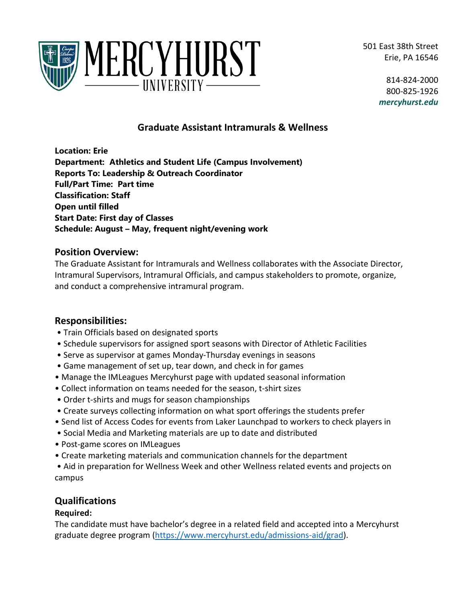501 East 38th Street Erie, PA 16546



814-824-2000 800-825-1926 *mercyhurst.edu*

# **Graduate Assistant Intramurals & Wellness**

**Location: Erie Department: Athletics and Student Life (Campus Involvement) Reports To: Leadership & Outreach Coordinator Full/Part Time: Part time Classification: Staff Open until filled Start Date: First day of Classes Schedule: August – May, frequent night/evening work** 

#### **Position Overview:**

The Graduate Assistant for Intramurals and Wellness collaborates with the Associate Director, Intramural Supervisors, Intramural Officials, and campus stakeholders to promote, organize, and conduct a comprehensive intramural program.

### **Responsibilities:**

- Train Officials based on designated sports
- Schedule supervisors for assigned sport seasons with Director of Athletic Facilities
- Serve as supervisor at games Monday-Thursday evenings in seasons
- Game management of set up, tear down, and check in for games
- Manage the IMLeagues Mercyhurst page with updated seasonal information
- Collect information on teams needed for the season, t-shirt sizes
- Order t-shirts and mugs for season championships
- Create surveys collecting information on what sport offerings the students prefer
- Send list of Access Codes for events from Laker Launchpad to workers to check players in
- Social Media and Marketing materials are up to date and distributed
- Post-game scores on IMLeagues
- Create marketing materials and communication channels for the department

• Aid in preparation for Wellness Week and other Wellness related events and projects on campus

## **Qualifications**

#### **Required:**

The candidate must have bachelor's degree in a related field and accepted into a Mercyhurst graduate degree program [\(https://www.mercyhurst.edu/admissions-aid/grad\)](https://www.mercyhurst.edu/admissions-aid/grad).